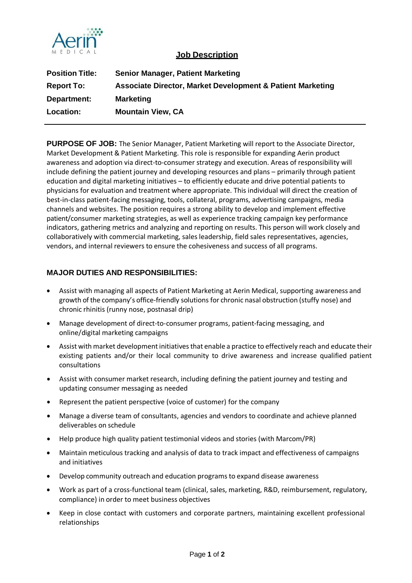

## **Job Description**

| <b>Position Title:</b> | Senior Manager, Patient Marketing                                     |
|------------------------|-----------------------------------------------------------------------|
| <b>Report To:</b>      | <b>Associate Director, Market Development &amp; Patient Marketing</b> |
| Department:            | <b>Marketing</b>                                                      |
| Location:              | <b>Mountain View, CA</b>                                              |

**PURPOSE OF JOB:** The Senior Manager, Patient Marketing will report to the Associate Director, Market Development & Patient Marketing. This role is responsible for expanding Aerin product awareness and adoption via direct-to-consumer strategy and execution. Areas of responsibility will include defining the patient journey and developing resources and plans – primarily through patient education and digital marketing initiatives – to efficiently educate and drive potential patients to physicians for evaluation and treatment where appropriate. This individual will direct the creation of best-in-class patient-facing messaging, tools, collateral, programs, advertising campaigns, media channels and websites. The position requires a strong ability to develop and implement effective patient/consumer marketing strategies, as well as experience tracking campaign key performance indicators, gathering metrics and analyzing and reporting on results. This person will work closely and collaboratively with commercial marketing, sales leadership, field sales representatives, agencies, vendors, and internal reviewers to ensure the cohesiveness and success of all programs.

## **MAJOR DUTIES AND RESPONSIBILITIES:**

- Assist with managing all aspects of Patient Marketing at Aerin Medical, supporting awareness and growth of the company's office-friendly solutions for chronic nasal obstruction (stuffy nose) and chronic rhinitis (runny nose, postnasal drip)
- Manage development of direct-to-consumer programs, patient-facing messaging, and online/digital marketing campaigns
- Assist with market development initiatives that enable a practice to effectively reach and educate their existing patients and/or their local community to drive awareness and increase qualified patient consultations
- Assist with consumer market research, including defining the patient journey and testing and updating consumer messaging as needed
- Represent the patient perspective (voice of customer) for the company
- Manage a diverse team of consultants, agencies and vendors to coordinate and achieve planned deliverables on schedule
- Help produce high quality patient testimonial videos and stories (with Marcom/PR)
- Maintain meticulous tracking and analysis of data to track impact and effectiveness of campaigns and initiatives
- Develop community outreach and education programs to expand disease awareness
- Work as part of a cross-functional team (clinical, sales, marketing, R&D, reimbursement, regulatory, compliance) in order to meet business objectives
- Keep in close contact with customers and corporate partners, maintaining excellent professional relationships